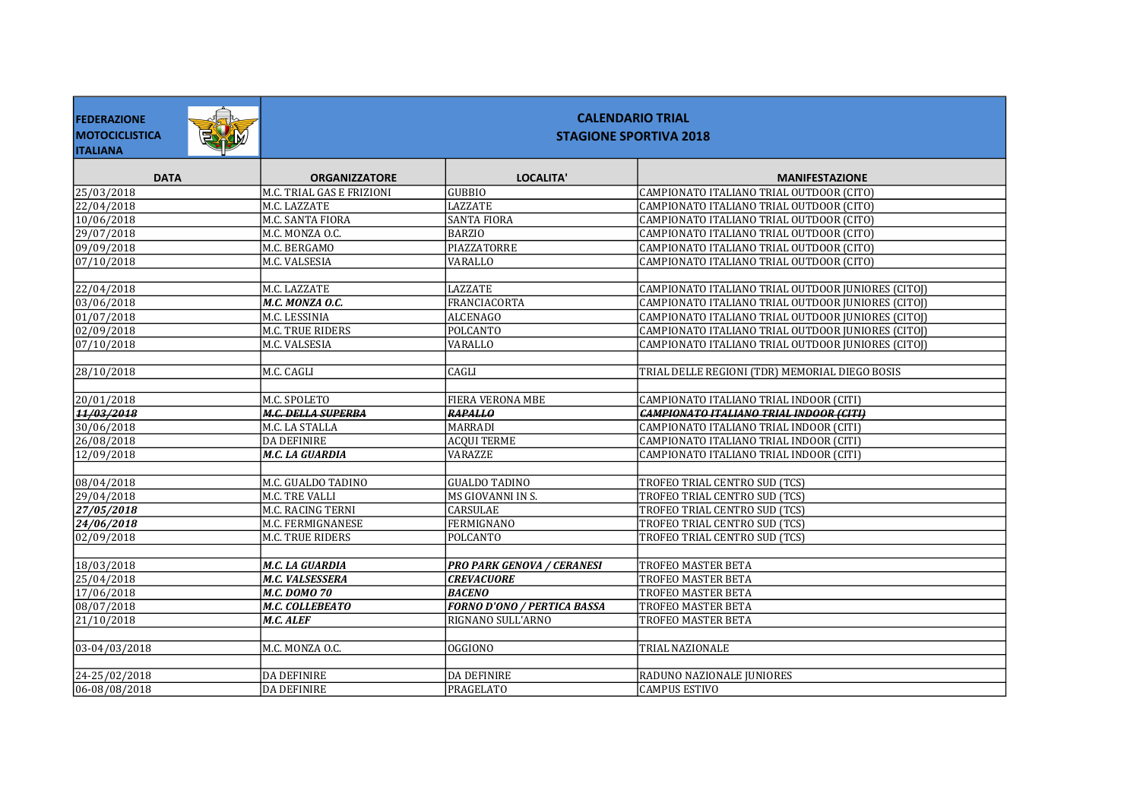| <b>FEDERAZIONE</b><br>全地<br><b>MOTOCICLISTICA</b><br><b>ITALIANA</b> | <b>CALENDARIO TRIAL</b><br><b>STAGIONE SPORTIVA 2018</b> |                                    |                                                    |  |
|----------------------------------------------------------------------|----------------------------------------------------------|------------------------------------|----------------------------------------------------|--|
| <b>DATA</b>                                                          | <b>ORGANIZZATORE</b>                                     | LOCALITA'                          | <b>MANIFESTAZIONE</b>                              |  |
| 25/03/2018                                                           | M.C. TRIAL GAS E FRIZIONI                                | <b>GUBBIO</b>                      | CAMPIONATO ITALIANO TRIAL OUTDOOR (CITO)           |  |
| $\sqrt{22/04/2018}$                                                  | M.C. LAZZATE                                             | <b>LAZZATE</b>                     | CAMPIONATO ITALIANO TRIAL OUTDOOR (CITO)           |  |
| 10/06/2018                                                           | M.C. SANTA FIORA                                         | <b>SANTA FIORA</b>                 | CAMPIONATO ITALIANO TRIAL OUTDOOR (CITO)           |  |
| 29/07/2018                                                           | M.C. MONZA O.C.                                          | <b>BARZIO</b>                      | CAMPIONATO ITALIANO TRIAL OUTDOOR (CITO)           |  |
| 09/09/2018                                                           | M.C. BERGAMO                                             | PIAZZATORRE                        | CAMPIONATO ITALIANO TRIAL OUTDOOR (CITO)           |  |
| 07/10/2018                                                           | M.C. VALSESIA                                            | <b>VARALLO</b>                     | CAMPIONATO ITALIANO TRIAL OUTDOOR (CITO)           |  |
|                                                                      |                                                          |                                    |                                                    |  |
| 22/04/2018                                                           | M.C. LAZZATE                                             | LAZZATE                            | CAMPIONATO ITALIANO TRIAL OUTDOOR JUNIORES (CITOJ) |  |
| 03/06/2018                                                           | M.C. MONZA O.C.                                          | <b>FRANCIACORTA</b>                | CAMPIONATO ITALIANO TRIAL OUTDOOR JUNIORES (CITOJ) |  |
| 01/07/2018                                                           | M.C. LESSINIA                                            | <b>ALCENAGO</b>                    | CAMPIONATO ITALIANO TRIAL OUTDOOR JUNIORES (CITOJ) |  |
| 02/09/2018                                                           | M.C. TRUE RIDERS                                         | <b>POLCANTO</b>                    | CAMPIONATO ITALIANO TRIAL OUTDOOR JUNIORES (CITOJ) |  |
| 07/10/2018                                                           | M.C. VALSESIA                                            | <b>VARALLO</b>                     | CAMPIONATO ITALIANO TRIAL OUTDOOR JUNIORES (CITOJ) |  |
|                                                                      |                                                          |                                    |                                                    |  |
| 28/10/2018                                                           | M.C. CAGLI                                               | CAGLI                              | TRIAL DELLE REGIONI (TDR) MEMORIAL DIEGO BOSIS     |  |
|                                                                      |                                                          |                                    |                                                    |  |
| 20/01/2018                                                           | M.C. SPOLETO                                             | <b>FIERA VERONA MBE</b>            | CAMPIONATO ITALIANO TRIAL INDOOR (CITI)            |  |
| 11/03/2018                                                           | <b>M.C. DELLA SUPERBA</b>                                | <b>RAPALLO</b>                     | <b>CAMPIONATO ITALIANO TRIAL INDOOR (CITI)</b>     |  |
| 30/06/2018                                                           | M.C. LA STALLA                                           | <b>MARRADI</b>                     | CAMPIONATO ITALIANO TRIAL INDOOR (CITI)            |  |
| 26/08/2018                                                           | DA DEFINIRE                                              | <b>ACQUI TERME</b>                 | CAMPIONATO ITALIANO TRIAL INDOOR (CITI)            |  |
| 12/09/2018                                                           | M.C. LA GUARDIA                                          | <b>VARAZZE</b>                     | CAMPIONATO ITALIANO TRIAL INDOOR (CITI)            |  |
|                                                                      |                                                          |                                    |                                                    |  |
| 08/04/2018                                                           | M.C. GUALDO TADINO                                       | <b>GUALDO TADINO</b>               | TROFEO TRIAL CENTRO SUD (TCS)                      |  |
| 29/04/2018                                                           | M.C. TRE VALLI                                           | MS GIOVANNI IN S.                  | TROFEO TRIAL CENTRO SUD (TCS)                      |  |
| 27/05/2018                                                           | M.C. RACING TERNI                                        | <b>CARSULAE</b>                    | TROFEO TRIAL CENTRO SUD (TCS)                      |  |
| 24/06/2018                                                           | M.C. FERMIGNANESE                                        | <b>FERMIGNANO</b>                  | TROFEO TRIAL CENTRO SUD (TCS)                      |  |
| 02/09/2018                                                           | M.C. TRUE RIDERS                                         | <b>POLCANTO</b>                    | <b>TROFEO TRIAL CENTRO SUD (TCS)</b>               |  |
|                                                                      |                                                          |                                    |                                                    |  |
| 18/03/2018                                                           | M.C. LA GUARDIA                                          | <b>PRO PARK GENOVA / CERANESI</b>  | TROFEO MASTER BETA                                 |  |
| 25/04/2018                                                           | M.C. VALSESSERA                                          | <b>CREVACUORE</b>                  | <b>TROFEO MASTER BETA</b>                          |  |
| 17/06/2018                                                           | M.C. DOMO 70                                             | <b>BACENO</b>                      | TROFEO MASTER BETA                                 |  |
| 08/07/2018                                                           | M.C. COLLEBEATO                                          | <b>FORNO D'ONO / PERTICA BASSA</b> | <b>TROFEO MASTER BETA</b>                          |  |
| 21/10/2018                                                           | M.C. ALEF                                                | RIGNANO SULL'ARNO                  | TROFEO MASTER BETA                                 |  |
|                                                                      |                                                          |                                    |                                                    |  |
| 03-04/03/2018                                                        | M.C. MONZA O.C.                                          | OGGIONO                            | TRIAL NAZIONALE                                    |  |
|                                                                      |                                                          |                                    |                                                    |  |
| 24-25/02/2018                                                        | DA DEFINIRE                                              | <b>DA DEFINIRE</b>                 | RADUNO NAZIONALE JUNIORES                          |  |
| 06-08/08/2018                                                        | DA DEFINIRE                                              | PRAGELATO                          | <b>CAMPUS ESTIVO</b>                               |  |